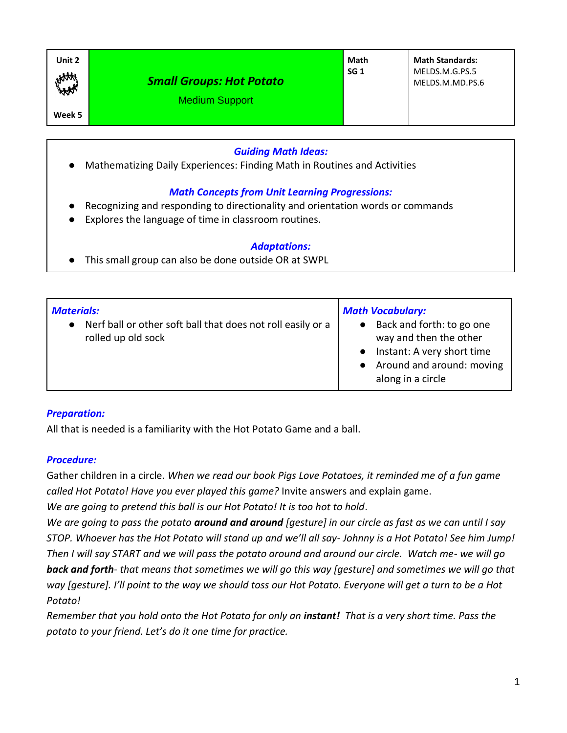| Unit 2<br>HAM | <b>Small Groups: Hot Potato</b><br><b>Medium Support</b> | Math<br>SG <sub>1</sub> | <b>Math Standards:</b><br>MELDS.M.G.PS.5<br>MELDS.M.MD.PS.6 |
|---------------|----------------------------------------------------------|-------------------------|-------------------------------------------------------------|
| Week 5        |                                                          |                         |                                                             |

## *Guiding Math Ideas:*

● Mathematizing Daily Experiences: Finding Math in Routines and Activities

### *Math Concepts from Unit Learning Progressions:*

- Recognizing and responding to directionality and orientation words or commands
- Explores the language of time in classroom routines.

#### *Adaptations:*

● This small group can also be done outside OR at SWPL

| <b>Materials:</b>                                           | <b>Math Vocabulary:</b>                 |  |
|-------------------------------------------------------------|-----------------------------------------|--|
| Nerf ball or other soft ball that does not roll easily or a | Back and forth: to go one               |  |
| rolled up old sock                                          | way and then the other                  |  |
|                                                             | Instant: A very short time<br>$\bullet$ |  |
|                                                             | Around and around: moving<br>$\bullet$  |  |
|                                                             | along in a circle                       |  |

#### *Preparation:*

All that is needed is a familiarity with the Hot Potato Game and a ball.

#### *Procedure:*

Gather children in a circle. *When we read our book Pigs Love Potatoes, it reminded me of a fun game called Hot Potato! Have you ever played this game?* Invite answers and explain game.

*We are going to pretend this ball is our Hot Potato! It is too hot to hold*.

*We are going to pass the potato around and around [gesture] in our circle as fast as we can until I say STOP. Whoever has the Hot Potato will stand up and we'll all say- Johnny is a Hot Potato! See him Jump! Then I will say START and we will pass the potato around and around our circle. Watch me- we will go back and forth- that means that sometimes we will go this way [gesture] and sometimes we will go that way [gesture]. I'll point to the way we should toss our Hot Potato. Everyone will get a turn to be a Hot Potato!* 

*Remember that you hold onto the Hot Potato for only an instant! That is a very short time. Pass the potato to your friend. Let's do it one time for practice.*